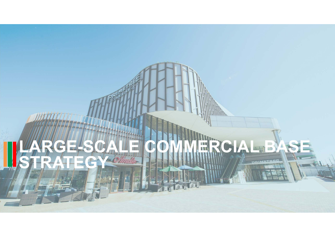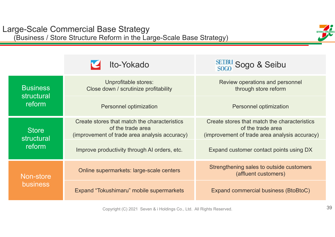

|                            | Ito-Yokado                                                                                                         | $\frac{\text{SEUBU}}{\text{SOGO}}$ Sogo & Seibu                                                                    |  |  |
|----------------------------|--------------------------------------------------------------------------------------------------------------------|--------------------------------------------------------------------------------------------------------------------|--|--|
| <b>Business</b>            | Unprofitable stores:<br>Close down / scrutinize profitability                                                      | Review operations and personnel<br>through store reform                                                            |  |  |
| structural<br>reform       | Personnel optimization                                                                                             | Personnel optimization                                                                                             |  |  |
| <b>Store</b><br>structural | Create stores that match the characteristics<br>of the trade area<br>(improvement of trade area analysis accuracy) | Create stores that match the characteristics<br>of the trade area<br>(improvement of trade area analysis accuracy) |  |  |
| reform                     | Improve productivity through AI orders, etc.                                                                       | Expand customer contact points using DX                                                                            |  |  |
| Non-store                  | Online supermarkets: large-scale centers                                                                           | Strengthening sales to outside customers<br>(affluent customers)                                                   |  |  |
| <b>business</b>            | Expand "Tokushimaru" mobile supermarkets                                                                           | <b>Expand commercial business (BtoBtoC)</b>                                                                        |  |  |

Copyright (C) 2021 Seven & i Holdings Co., Ltd. All Rights Reserved.